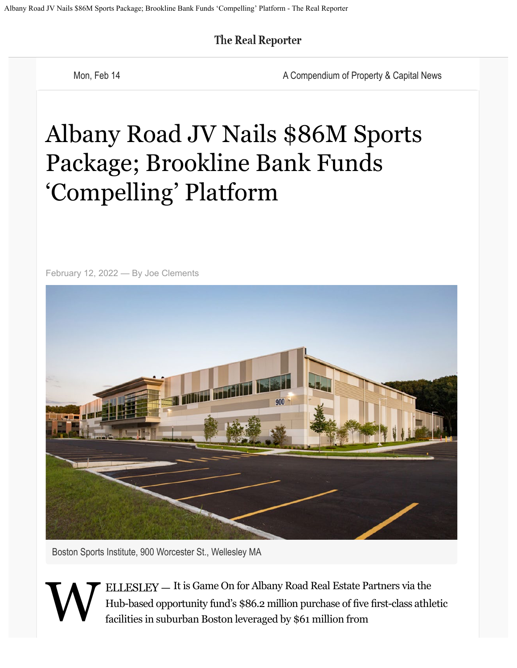**The Real Reporter** 

Mon, Feb 14 **A Compendium of Property & Capital News** A Compendium of Property & Capital News

## Albany Road JV Nails \$86M Sports Package; Brookline Bank Funds 'Compelling' Platform

February 12, 2022 — By Joe Clements



Boston Sports Institute, 900 Worcester St., Wellesley MA

**W** ELLESLEY — It is Game On for Albany Road Real Estate Partners via the Hub-based opportunity fund's \$86.2 million purchase of fve frst-class athletic facilities in suburban Boston leveraged by \$61 million from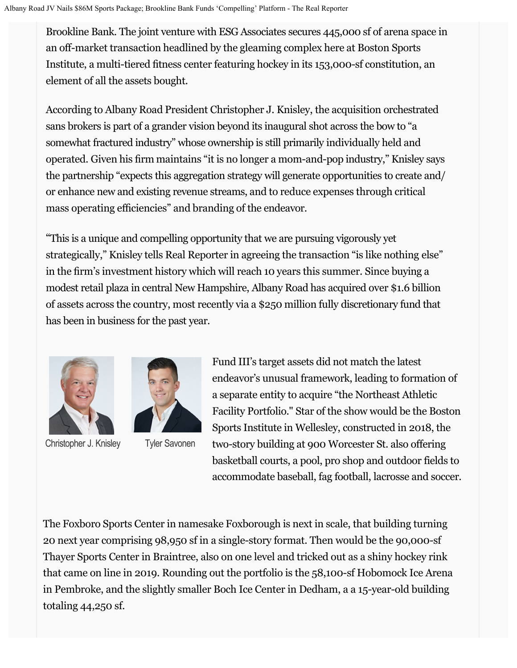Brookline Bank. The joint venture with ESG Associates secures 445,000 sf of arena space in an off-market transaction headlined by the gleaming complex here at Boston Sports Institute, a multi-tiered ftness center featuring hockey in its 153,000-sf constitution, an element of all the assets bought.

According to Albany Road President Christopher J. Knisley, the acquisition orchestrated sans brokers is part of a grander vision beyond its inaugural shot across the bow to "a somewhat fractured industry" whose ownership is still primarily individually held and operated. Given his frm maintains "it is no longer a mom-and-pop industry," Knisley says the partnership "expects this aggregation strategy will generate opportunities to create and/ or enhance new and existing revenue streams, and to reduce expenses through critical mass operating efficiencies" and branding of the endeavor.

"This is a unique and compelling opportunity that we are pursuing vigorously yet strategically," Knisley tells Real Reporter in agreeing the transaction "is like nothing else" in the frm's investment history which will reach 10 years this summer. Since buying a modest retail plaza in central New Hampshir[e, Al](https://www.cambridgesavings.com/commercial/lending/commercial-real-estate)bany Road has acquired over \$1.6 billion [of assets across the country, most recently via a \\$250 million fully](https://www.cambridgesavings.com/commercial/lending/commercial-real-estate) discretionary fund that has been in business for the past year.



Christopher J. Knisley Tyler Savonen



Fund III's target assets did not match the latest endeavor's unusual framework, leading to formation of a separate entity to acquire "the Northeast Athletic Facility Portfolio." Star of the show would be the Boston Sports Institute in Wellesley, constructed in 2018, the two-story building at 900 Worcester St. also offering basketball courts, a pool, pro shop and outdoor fields to accommodate baseball, fag football, lacrosse and soccer.

The Foxboro Sports Center in namesake Foxborough is next in scale, that building turning 20 next year comprising 98,950 sf in a single-story format. Then would be the 90,000-sf Thayer Sports Center in Braintree, also on one level and tricked out as a shiny hockey rink that came on line in 2019. Rounding out the portfolio is the 58,100-sf Hobomock Ice Arena in Pembroke, and the slightly smaller Boch Ice Center in Dedham, a a 15-year-old building totaling 44,250 sf.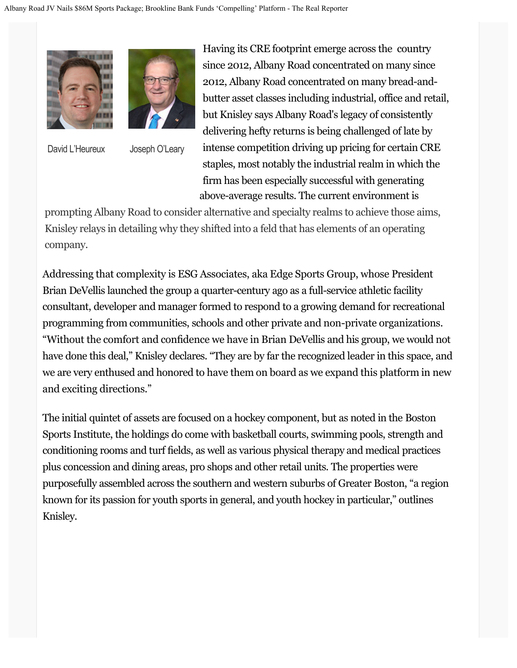

David L'Heureux Joseph O'Leary

Having its CRE footprint emerge across the country since 2012, Albany Road concentrated on many since 2012, Albany Road concentrated on many bread-andbutter asset classes including industrial, office and retail, but Knisley says Albany Road's legacy of consistently delivering hefty returns is being challenged of late by intense competition driving up pricing for certain CRE staples, most notably the industrial realm in which the firm has been especially successful with generating above-average results. The current environment is

prompting Albany Road to consider alternative and specialty realms to achieve those aims, Knisley relays in detailing why they shifted into a feld that has elements of an operating company.

Addressing that complexity is ESG Associates, aka Edge Sports Group, whose President Brian DeVellis launched the group a quarter-century ago as a full-service athletic facility consultant, developer and manager formed to respond to a growing demand for recreational programming from communities, schools and other private and non-private organizations. "Without the comfort and confdence we have in Brian DeVellis and his group, we would not have done this deal," Knisley declares. "They are by far the recognized leader in this space, and we are very enthused and honored to have them on board as we expand this platform in new and exciting directions."

The initial quintet of assets are focused on a hockey component, but as noted in the Boston Sports Institute, the holdings do come with basketball courts, swimming pools, strength and conditioning rooms and turf felds, as well as various physical therapy and medical practices plus concession and dining areas, pro shops and other retail units. The properties were purposefully assembled across the southern and western suburbs of Greater Boston, "a region known for its passion for youth sports in general, and youth hockey in particular," outlines Knisley.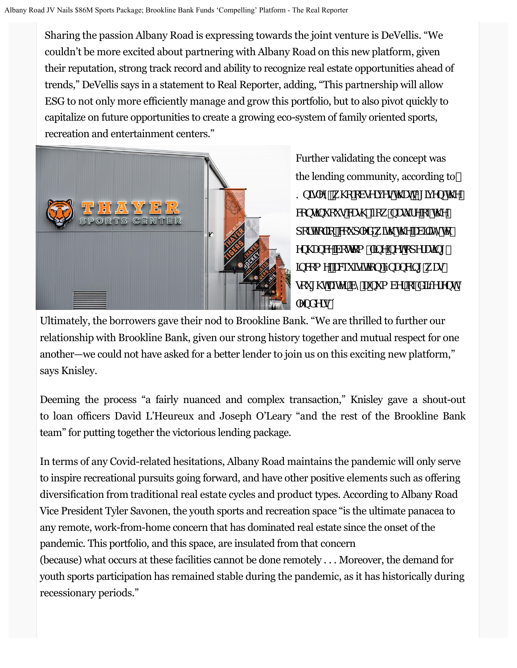Sharing the passion Albany Road is expressing towards the joint venture is DeVellis. "We couldn't be more excited about partnering with Albany Road on this new platform, given their reputation, strong track record and ability to recognize real estate opportunities ahead of trends," DeVellis says in a statement to Real Reporter, adding, "This partnership will allow ESG to not only more efficiently manage and grow this portfolio, but to also pivot quickly to capitalize on future opportunities to create a growing eco-system of family oriented sports, recreation and entertainment centers."



Further validating the concept was the lending community, according to ? b]gYrŭk \c cVgYrj Ygh UžÍ [ ]j Yb h Y Woblibi ci gWg. Zick bUi fYcZh Y def**lic** [cžWi d`YXk [h h YU/] [mte Yb\UbWVcHca!`|bYbYricdYrUp| ]bWa YžUWi ]gli}cb ZbUbVJb[ kUg gci [\hUtMf VnUbi a VMf cZXJZMYbh `YbXYfg'Î

Ultimately, the borrowers gave their nod to Brookline Bank. "We are thrilled to further our relationship with Brookline Bank, given our strong history together and mutual respect for one another—we could not have asked for a better lender to join us on this exciting new platform," says Knisley.

Deeming the process "a fairly nuanced and complex transaction," Knisley gave a shout-out to loan officers David L'Heureux and Joseph O'Leary "and the rest of the Brookline Bank team" for putting together the victorious lending package.

In terms of any Covid-related hesitations, Albany Road maintains the pandemic will only serve to inspire recreational pursuits going forward, and have other positive elements such as ofering diversifcation from traditional real estate cycles and product types. According to Albany Road Vice President Tyler Savonen, the youth sports and recreation space "is the ultimate panacea to any remote, work-from-home concern that has dominated real estate since the onset of the pandemic. This portfolio, and this space, are insulated from that concern (because) what occurs at these facilities cannot be done remotely . . . Moreover, the demand for youth sports participation has remained stable during the pandemic, as it has historically during recessionary periods."